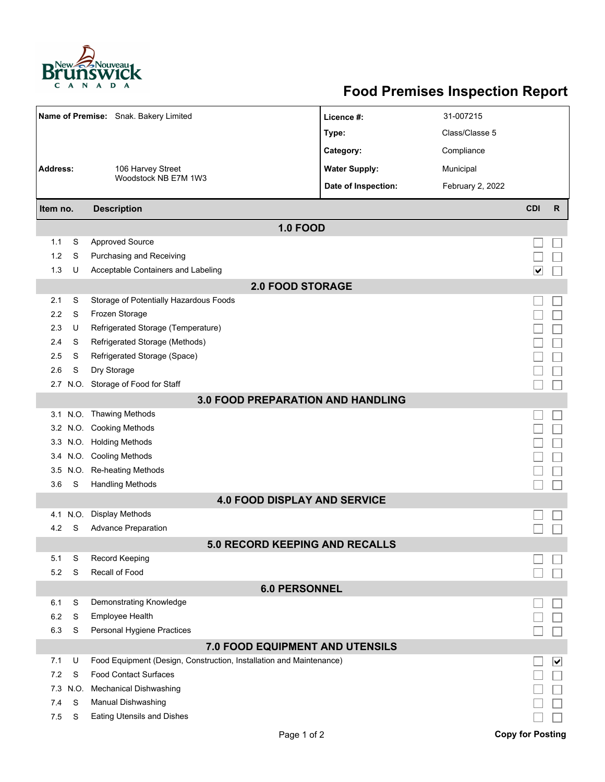

## **Food Premises Inspection Report**

|                                                                                                                    |                              | Name of Premise: Snak. Bakery Limited         | Licence #:                            | 31-007215        |                         |              |  |  |  |  |  |  |
|--------------------------------------------------------------------------------------------------------------------|------------------------------|-----------------------------------------------|---------------------------------------|------------------|-------------------------|--------------|--|--|--|--|--|--|
|                                                                                                                    |                              |                                               | Type:                                 | Class/Classe 5   |                         |              |  |  |  |  |  |  |
|                                                                                                                    |                              |                                               | Category:                             | Compliance       |                         |              |  |  |  |  |  |  |
| <b>Address:</b>                                                                                                    |                              | 106 Harvey Street<br>Woodstock NB E7M 1W3     | <b>Water Supply:</b>                  | Municipal        |                         |              |  |  |  |  |  |  |
|                                                                                                                    |                              |                                               |                                       |                  |                         |              |  |  |  |  |  |  |
|                                                                                                                    |                              |                                               | Date of Inspection:                   | February 2, 2022 |                         |              |  |  |  |  |  |  |
| Item no.                                                                                                           |                              | <b>Description</b>                            |                                       |                  | <b>CDI</b>              | $\mathsf{R}$ |  |  |  |  |  |  |
| <b>1.0 FOOD</b>                                                                                                    |                              |                                               |                                       |                  |                         |              |  |  |  |  |  |  |
| 1.1                                                                                                                | S                            | <b>Approved Source</b>                        |                                       |                  |                         |              |  |  |  |  |  |  |
| 1.2                                                                                                                | S                            | Purchasing and Receiving                      |                                       |                  |                         |              |  |  |  |  |  |  |
| 1.3                                                                                                                | U                            | Acceptable Containers and Labeling            |                                       |                  | ∣∨                      |              |  |  |  |  |  |  |
| <b>2.0 FOOD STORAGE</b>                                                                                            |                              |                                               |                                       |                  |                         |              |  |  |  |  |  |  |
| 2.1                                                                                                                | S                            | Storage of Potentially Hazardous Foods        |                                       |                  |                         |              |  |  |  |  |  |  |
| 2.2                                                                                                                | S                            | Frozen Storage                                |                                       |                  |                         |              |  |  |  |  |  |  |
| 2.3                                                                                                                | U                            | Refrigerated Storage (Temperature)            |                                       |                  |                         |              |  |  |  |  |  |  |
| 2.4                                                                                                                | S                            | Refrigerated Storage (Methods)                |                                       |                  |                         |              |  |  |  |  |  |  |
| 2.5                                                                                                                | S                            | Refrigerated Storage (Space)                  |                                       |                  |                         |              |  |  |  |  |  |  |
| 2.6                                                                                                                | S                            | Dry Storage                                   |                                       |                  |                         |              |  |  |  |  |  |  |
|                                                                                                                    |                              | 2.7 N.O. Storage of Food for Staff            |                                       |                  |                         |              |  |  |  |  |  |  |
| <b>3.0 FOOD PREPARATION AND HANDLING</b>                                                                           |                              |                                               |                                       |                  |                         |              |  |  |  |  |  |  |
|                                                                                                                    |                              | 3.1 N.O. Thawing Methods                      |                                       |                  |                         |              |  |  |  |  |  |  |
|                                                                                                                    |                              | 3.2 N.O. Cooking Methods                      |                                       |                  |                         |              |  |  |  |  |  |  |
|                                                                                                                    |                              | 3.3 N.O. Holding Methods                      |                                       |                  |                         |              |  |  |  |  |  |  |
|                                                                                                                    |                              | 3.4 N.O. Cooling Methods                      |                                       |                  |                         |              |  |  |  |  |  |  |
| 3.5                                                                                                                | N.O.                         | Re-heating Methods                            |                                       |                  |                         |              |  |  |  |  |  |  |
| 3.6                                                                                                                | S<br><b>Handling Methods</b> |                                               |                                       |                  |                         |              |  |  |  |  |  |  |
|                                                                                                                    |                              |                                               | <b>4.0 FOOD DISPLAY AND SERVICE</b>   |                  |                         |              |  |  |  |  |  |  |
| 4.1                                                                                                                | N.O.                         | Display Methods                               |                                       |                  |                         |              |  |  |  |  |  |  |
| 4.2                                                                                                                | S                            | <b>Advance Preparation</b>                    |                                       |                  |                         |              |  |  |  |  |  |  |
|                                                                                                                    |                              |                                               | <b>5.0 RECORD KEEPING AND RECALLS</b> |                  |                         |              |  |  |  |  |  |  |
| 5.1                                                                                                                | S                            | <b>Record Keeping</b>                         |                                       |                  |                         |              |  |  |  |  |  |  |
|                                                                                                                    | Recall of Food<br>5.2<br>S   |                                               |                                       |                  |                         |              |  |  |  |  |  |  |
|                                                                                                                    |                              |                                               | <b>6.0 PERSONNEL</b>                  |                  |                         |              |  |  |  |  |  |  |
| 6.1                                                                                                                | S                            | Demonstrating Knowledge                       |                                       |                  |                         |              |  |  |  |  |  |  |
| 6.2<br>6.3                                                                                                         | S<br>S                       | Employee Health<br>Personal Hygiene Practices |                                       |                  |                         |              |  |  |  |  |  |  |
|                                                                                                                    |                              |                                               |                                       |                  |                         |              |  |  |  |  |  |  |
| 7.0 FOOD EQUIPMENT AND UTENSILS<br>Food Equipment (Design, Construction, Installation and Maintenance)<br>7.1<br>U |                              |                                               |                                       |                  |                         |              |  |  |  |  |  |  |
| 7.2                                                                                                                | S                            | <b>Food Contact Surfaces</b>                  |                                       |                  |                         | ⊻            |  |  |  |  |  |  |
| 7.3                                                                                                                | N.O.                         | <b>Mechanical Dishwashing</b>                 |                                       |                  |                         |              |  |  |  |  |  |  |
| 7.4                                                                                                                | S                            | Manual Dishwashing                            |                                       |                  |                         |              |  |  |  |  |  |  |
| 7.5                                                                                                                | S                            | <b>Eating Utensils and Dishes</b>             |                                       |                  |                         |              |  |  |  |  |  |  |
|                                                                                                                    |                              |                                               | Page 1 of 2                           |                  | <b>Copy for Posting</b> |              |  |  |  |  |  |  |
|                                                                                                                    |                              |                                               |                                       |                  |                         |              |  |  |  |  |  |  |